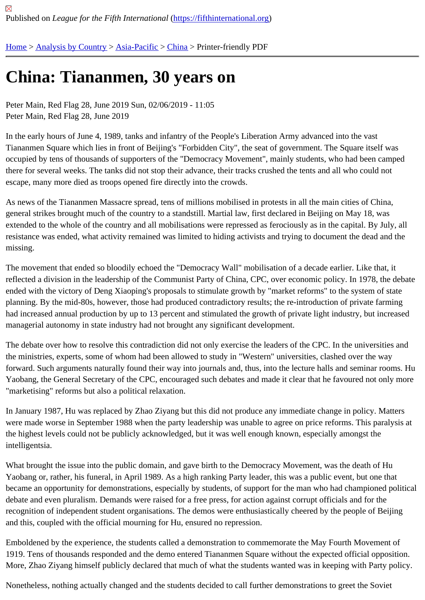## [Ch](https://fifthinternational.org/)i[na: Tianan](https://fifthinternational.org/category/1)[men, 3](https://fifthinternational.org/category/1/91)[0 ye](https://fifthinternational.org/category/1/91/96)ars on

Peter Main, Red Flag 28, June 2019 Sun, 02/06/2019 - 11:05 Peter Main, Red Flag 28, June 2019

In the early hours of June 4, 1989, tanks and infantry of the People's Liberation Army advanced into the vast Tiananmen Square which lies in front of Beijing's "Forbidden City", the seat of government. The Square itself was occupied by tens of thousands of supporters of the "Democracy Movement", mainly students, who had been camp there for several weeks. The tanks did not stop their advance, their tracks crushed the tents and all who could not escape, many more died as troops opened fire directly into the crowds.

As news of the Tiananmen Massacre spread, tens of millions mobilised in protests in all the main cities of China, general strikes brought much of the country to a standstill. Martial law, first declared in Beijing on May 18, was extended to the whole of the country and all mobilisations were repressed as ferociously as in the capital. By July, resistance was ended, what activity remained was limited to hiding activists and trying to document the dead and t missing.

The movement that ended so bloodily echoed the "Democracy Wall" mobilisation of a decade earlier. Like that, it reflected a division in the leadership of the Communist Party of China, CPC, over economic policy. In 1978, the de ended with the victory of Deng Xiaoping's proposals to stimulate growth by "market reforms" to the system of state planning. By the mid-80s, however, those had produced contradictory results; the re-introduction of private farming had increased annual production by up to 13 percent and stimulated the growth of private light industry, but increa managerial autonomy in state industry had not brought any significant development.

The debate over how to resolve this contradiction did not only exercise the leaders of the CPC. In the universities the ministries, experts, some of whom had been allowed to study in "Western" universities, clashed over the way forward. Such arguments naturally found their way into journals and, thus, into the lecture halls and seminar rooms Yaobang, the General Secretary of the CPC, encouraged such debates and made it clear that he favoured not onl "marketising" reforms but also a political relaxation.

In January 1987, Hu was replaced by Zhao Ziyang but this did not produce any immediate change in policy. Matte were made worse in September 1988 when the party leadership was unable to agree on price reforms. This paraly the highest levels could not be publicly acknowledged, but it was well enough known, especially amongst the intelligentsia.

What brought the issue into the public domain, and gave birth to the Democracy Movement, was the death of Hu Yaobang or, rather, his funeral, in April 1989. As a high ranking Party leader, this was a public event, but one that became an opportunity for demonstrations, especially by students, of support for the man who had championed po debate and even pluralism. Demands were raised for a free press, for action against corrupt officials and for the recognition of independent student organisations. The demos were enthusiastically cheered by the people of Beijin and this, coupled with the official mourning for Hu, ensured no repression.

Emboldened by the experience, the students called a demonstration to commemorate the May Fourth Movement of 1919. Tens of thousands responded and the demo entered Tiananmen Square without the expected official oppos More, Zhao Ziyang himself publicly declared that much of what the students wanted was in keeping with Party poli

Nonetheless, nothing actually changed and the students decided to call further demonstrations to greet the Soviet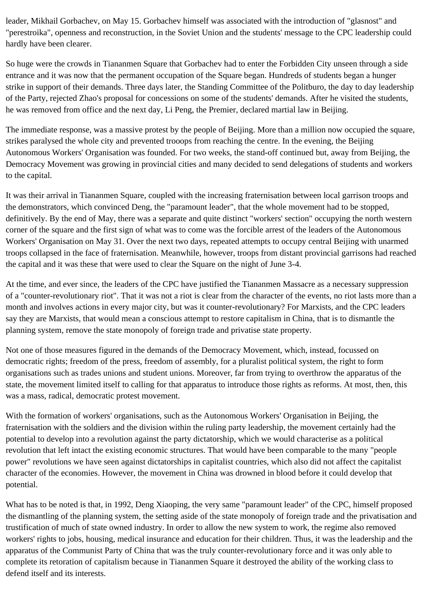leader, Mikhail Gorbachev, on May 15. Gorbachev himself was associated with the introduction of "glasnost" and "perestroika", openness and reconstruction, in the Soviet Union and the students' message to the CPC leadership could hardly have been clearer.

So huge were the crowds in Tiananmen Square that Gorbachev had to enter the Forbidden City unseen through a side entrance and it was now that the permanent occupation of the Square began. Hundreds of students began a hunger strike in support of their demands. Three days later, the Standing Committee of the Politburo, the day to day leadership of the Party, rejected Zhao's proposal for concessions on some of the students' demands. After he visited the students, he was removed from office and the next day, Li Peng, the Premier, declared martial law in Beijing.

The immediate response, was a massive protest by the people of Beijing. More than a million now occupied the square, strikes paralysed the whole city and prevented trooops from reaching the centre. In the evening, the Beijing Autonomous Workers' Organisation was founded. For two weeks, the stand-off continued but, away from Beijing, the Democracy Movement was growing in provincial cities and many decided to send delegations of students and workers to the capital.

It was their arrival in Tiananmen Square, coupled with the increasing fraternisation between local garrison troops and the demonstrators, which convinced Deng, the "paramount leader", that the whole movement had to be stopped, definitively. By the end of May, there was a separate and quite distinct "workers' section" occupying the north western corner of the square and the first sign of what was to come was the forcible arrest of the leaders of the Autonomous Workers' Organisation on May 31. Over the next two days, repeated attempts to occupy central Beijing with unarmed troops collapsed in the face of fraternisation. Meanwhile, however, troops from distant provincial garrisons had reached the capital and it was these that were used to clear the Square on the night of June 3-4.

At the time, and ever since, the leaders of the CPC have justified the Tiananmen Massacre as a necessary suppression of a "counter-revolutionary riot". That it was not a riot is clear from the character of the events, no riot lasts more than a month and involves actions in every major city, but was it counter-revolutionary? For Marxists, and the CPC leaders say they are Marxists, that would mean a conscious attempt to restore capitalism in China, that is to dismantle the planning system, remove the state monopoly of foreign trade and privatise state property.

Not one of those measures figured in the demands of the Democracy Movement, which, instead, focussed on democratic rights; freedom of the press, freedom of assembly, for a pluralist political system, the right to form organisations such as trades unions and student unions. Moreover, far from trying to overthrow the apparatus of the state, the movement limited itself to calling for that apparatus to introduce those rights as reforms. At most, then, this was a mass, radical, democratic protest movement.

With the formation of workers' organisations, such as the Autonomous Workers' Organisation in Beijing, the fraternisation with the soldiers and the division within the ruling party leadership, the movement certainly had the potential to develop into a revolution against the party dictatorship, which we would characterise as a political revolution that left intact the existing economic structures. That would have been comparable to the many "people power" revolutions we have seen against dictatorships in capitalist countries, which also did not affect the capitalist character of the economies. However, the movement in China was drowned in blood before it could develop that potential.

What has to be noted is that, in 1992, Deng Xiaoping, the very same "paramount leader" of the CPC, himself proposed the dismantling of the planning system, the setting aside of the state monopoly of foreign trade and the privatisation and trustification of much of state owned industry. In order to allow the new system to work, the regime also removed workers' rights to jobs, housing, medical insurance and education for their children. Thus, it was the leadership and the apparatus of the Communist Party of China that was the truly counter-revolutionary force and it was only able to complete its retoration of capitalism because in Tiananmen Square it destroyed the ability of the working class to defend itself and its interests.